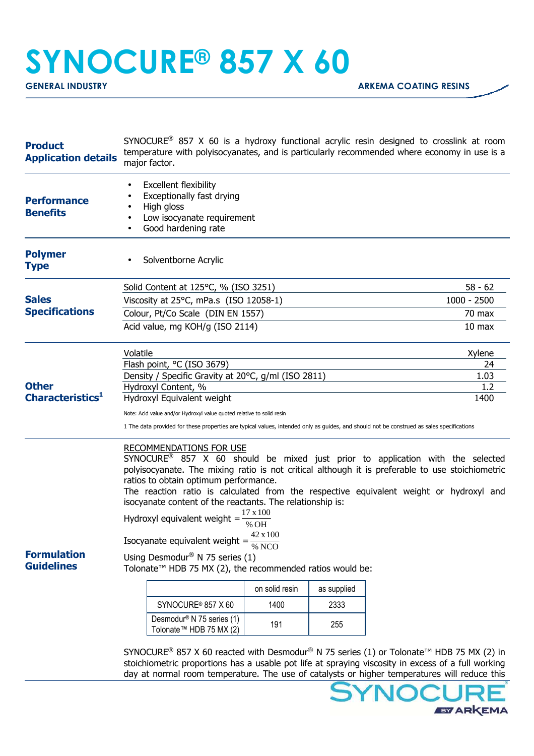## **SYNOCURE® 857 X 60**

| <b>Product</b><br><b>Application details</b> | SYNOCURE <sup>®</sup> 857 X 60 is a hydroxy functional acrylic resin designed to crosslink at room<br>temperature with polyisocyanates, and is particularly recommended where economy in use is a<br>major factor.                                                                                                                                                                                                                                                                                                                                                                                                                                                                                                                                                                                                                                                          |                                                                                                                                                                                                    |  |  |  |                   |
|----------------------------------------------|-----------------------------------------------------------------------------------------------------------------------------------------------------------------------------------------------------------------------------------------------------------------------------------------------------------------------------------------------------------------------------------------------------------------------------------------------------------------------------------------------------------------------------------------------------------------------------------------------------------------------------------------------------------------------------------------------------------------------------------------------------------------------------------------------------------------------------------------------------------------------------|----------------------------------------------------------------------------------------------------------------------------------------------------------------------------------------------------|--|--|--|-------------------|
| <b>Performance</b><br><b>Benefits</b>        | <b>Excellent flexibility</b><br>Exceptionally fast drying<br>High gloss<br>Low isocyanate requirement<br>Good hardening rate                                                                                                                                                                                                                                                                                                                                                                                                                                                                                                                                                                                                                                                                                                                                                |                                                                                                                                                                                                    |  |  |  |                   |
| <b>Polymer</b><br><b>Type</b>                |                                                                                                                                                                                                                                                                                                                                                                                                                                                                                                                                                                                                                                                                                                                                                                                                                                                                             | Solventborne Acrylic                                                                                                                                                                               |  |  |  |                   |
|                                              |                                                                                                                                                                                                                                                                                                                                                                                                                                                                                                                                                                                                                                                                                                                                                                                                                                                                             | Solid Content at 125°C, % (ISO 3251)                                                                                                                                                               |  |  |  | $58 - 62$         |
| <b>Sales</b><br><b>Specifications</b>        | Viscosity at 25°C, mPa.s (ISO 12058-1)                                                                                                                                                                                                                                                                                                                                                                                                                                                                                                                                                                                                                                                                                                                                                                                                                                      |                                                                                                                                                                                                    |  |  |  | $1000 - 2500$     |
|                                              | Colour, Pt/Co Scale (DIN EN 1557)                                                                                                                                                                                                                                                                                                                                                                                                                                                                                                                                                                                                                                                                                                                                                                                                                                           |                                                                                                                                                                                                    |  |  |  | 70 max            |
|                                              | Acid value, mg KOH/g (ISO 2114)                                                                                                                                                                                                                                                                                                                                                                                                                                                                                                                                                                                                                                                                                                                                                                                                                                             |                                                                                                                                                                                                    |  |  |  | 10 <sub>max</sub> |
|                                              | Volatile                                                                                                                                                                                                                                                                                                                                                                                                                                                                                                                                                                                                                                                                                                                                                                                                                                                                    |                                                                                                                                                                                                    |  |  |  | Xylene            |
|                                              | Flash point, °C (ISO 3679)                                                                                                                                                                                                                                                                                                                                                                                                                                                                                                                                                                                                                                                                                                                                                                                                                                                  |                                                                                                                                                                                                    |  |  |  | 24                |
| <b>Other</b>                                 | Density / Specific Gravity at 20°C, g/ml (ISO 2811)<br>Hydroxyl Content, %                                                                                                                                                                                                                                                                                                                                                                                                                                                                                                                                                                                                                                                                                                                                                                                                  |                                                                                                                                                                                                    |  |  |  | 1.03<br>1.2       |
| Characteristics <sup>1</sup>                 | Hydroxyl Equivalent weight                                                                                                                                                                                                                                                                                                                                                                                                                                                                                                                                                                                                                                                                                                                                                                                                                                                  |                                                                                                                                                                                                    |  |  |  | 1400              |
|                                              | Note: Acid value and/or Hydroxyl value quoted relative to solid resin                                                                                                                                                                                                                                                                                                                                                                                                                                                                                                                                                                                                                                                                                                                                                                                                       |                                                                                                                                                                                                    |  |  |  |                   |
|                                              | 1 The data provided for these properties are typical values, intended only as guides, and should not be construed as sales specifications                                                                                                                                                                                                                                                                                                                                                                                                                                                                                                                                                                                                                                                                                                                                   |                                                                                                                                                                                                    |  |  |  |                   |
| <b>Formulation</b><br><b>Guidelines</b>      | <b>RECOMMENDATIONS FOR USE</b><br>SYNOCURE <sup>®</sup> 857 X 60 should be mixed just prior to application with the selected<br>polyisocyanate. The mixing ratio is not critical although it is preferable to use stoichiometric<br>ratios to obtain optimum performance.<br>The reaction ratio is calculated from the respective equivalent weight or hydroxyl and<br>isocyanate content of the reactants. The relationship is:<br>$17\,\mathrm{x}\,100$<br>Hydroxyl equivalent weight =<br>% OH<br>Isocyanate equivalent weight = $\frac{42 \Delta 100}{\% NCO}$<br>Using Desmodur <sup>®</sup> N 75 series (1)<br>Tolonate <sup>™</sup> HDB 75 MX (2), the recommended ratios would be:<br>on solid resin<br>as supplied<br>SYNOCURE <sup>®</sup> 857 X 60<br>1400<br>2333<br>Desmodur <sup>®</sup> N 75 series (1)<br>191<br>255<br>Tolonate <sup>™</sup> HDB 75 MX (2) |                                                                                                                                                                                                    |  |  |  |                   |
|                                              | SYNOCURE <sup>®</sup> 857 X 60 reacted with Desmodur <sup>®</sup> N 75 series (1) or Tolonate <sup>™</sup> HDB 75 MX (2) in                                                                                                                                                                                                                                                                                                                                                                                                                                                                                                                                                                                                                                                                                                                                                 |                                                                                                                                                                                                    |  |  |  |                   |
|                                              |                                                                                                                                                                                                                                                                                                                                                                                                                                                                                                                                                                                                                                                                                                                                                                                                                                                                             | stoichiometric proportions has a usable pot life at spraying viscosity in excess of a full working<br>day at normal room temperature. The use of catalysts or higher temperatures will reduce this |  |  |  |                   |